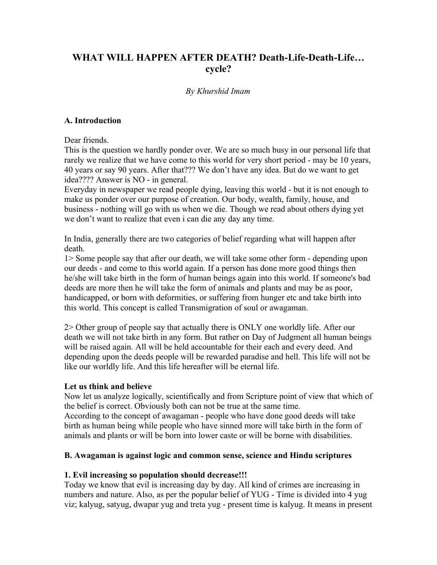# **WHAT WILL HAPPEN AFTER DEATH? Death-Life-Death-Life… cycle?**

## *By Khurshid Imam*

### **A. Introduction**

Dear friends.

This is the question we hardly ponder over. We are so much busy in our personal life that rarely we realize that we have come to this world for very short period - may be 10 years, 40 years or say 90 years. After that??? We don't have any idea. But do we want to get idea???? Answer is NO - in general.

Everyday in newspaper we read people dying, leaving this world - but it is not enough to make us ponder over our purpose of creation. Our body, wealth, family, house, and business - nothing will go with us when we die. Though we read about others dying yet we don't want to realize that even i can die any day any time.

In India, generally there are two categories of belief regarding what will happen after death.

1> Some people say that after our death, we will take some other form - depending upon our deeds - and come to this world again. If a person has done more good things then he/she will take birth in the form of human beings again into this world. If someone's bad deeds are more then he will take the form of animals and plants and may be as poor, handicapped, or born with deformities, or suffering from hunger etc and take birth into this world. This concept is called Transmigration of soul or awagaman.

2> Other group of people say that actually there is ONLY one worldly life. After our death we will not take birth in any form. But rather on Day of Judgment all human beings will be raised again. All will be held accountable for their each and every deed. And depending upon the deeds people will be rewarded paradise and hell. This life will not be like our worldly life. And this life hereafter will be eternal life.

#### **Let us think and believe**

Now let us analyze logically, scientifically and from Scripture point of view that which of the belief is correct. Obviously both can not be true at the same time.

According to the concept of awagaman - people who have done good deeds will take birth as human being while people who have sinned more will take birth in the form of animals and plants or will be born into lower caste or will be borne with disabilities.

#### **B. Awagaman is against logic and common sense, science and Hindu scriptures**

#### **1. Evil increasing so population should decrease!!!**

Today we know that evil is increasing day by day. All kind of crimes are increasing in numbers and nature. Also, as per the popular belief of YUG - Time is divided into 4 yug viz; kalyug, satyug, dwapar yug and treta yug - present time is kalyug. It means in present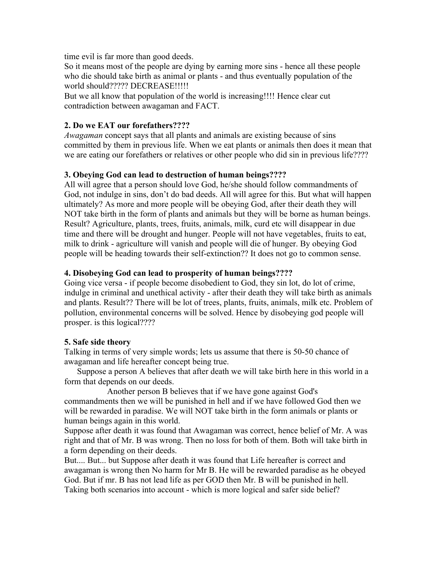time evil is far more than good deeds.

So it means most of the people are dying by earning more sins - hence all these people who die should take birth as animal or plants - and thus eventually population of the world should????? DECREASE!!!!!

But we all know that population of the world is increasing!!!! Hence clear cut contradiction between awagaman and FACT.

#### **2. Do we EAT our forefathers????**

*Awagaman* concept says that all plants and animals are existing because of sins committed by them in previous life. When we eat plants or animals then does it mean that we are eating our forefathers or relatives or other people who did sin in previous life????

#### **3. Obeying God can lead to destruction of human beings????**

All will agree that a person should love God, he/she should follow commandments of God, not indulge in sins, don't do bad deeds. All will agree for this. But what will happen ultimately? As more and more people will be obeying God, after their death they will NOT take birth in the form of plants and animals but they will be borne as human beings. Result? Agriculture, plants, trees, fruits, animals, milk, curd etc will disappear in due time and there will be drought and hunger. People will not have vegetables, fruits to eat, milk to drink - agriculture will vanish and people will die of hunger. By obeying God people will be heading towards their self-extinction?? It does not go to common sense.

#### **4. Disobeying God can lead to prosperity of human beings????**

Going vice versa - if people become disobedient to God, they sin lot, do lot of crime, indulge in criminal and unethical activity - after their death they will take birth as animals and plants. Result?? There will be lot of trees, plants, fruits, animals, milk etc. Problem of pollution, environmental concerns will be solved. Hence by disobeying god people will prosper. is this logical????

#### **5. Safe side theory**

Talking in terms of very simple words; lets us assume that there is 50-50 chance of awagaman and life hereafter concept being true.

 Suppose a person A believes that after death we will take birth here in this world in a form that depends on our deeds.

 Another person B believes that if we have gone against God's commandments then we will be punished in hell and if we have followed God then we will be rewarded in paradise. We will NOT take birth in the form animals or plants or human beings again in this world.

Suppose after death it was found that Awagaman was correct, hence belief of Mr. A was right and that of Mr. B was wrong. Then no loss for both of them. Both will take birth in a form depending on their deeds.

But.... But... but Suppose after death it was found that Life hereafter is correct and awagaman is wrong then No harm for Mr B. He will be rewarded paradise as he obeyed God. But if mr. B has not lead life as per GOD then Mr. B will be punished in hell. Taking both scenarios into account - which is more logical and safer side belief?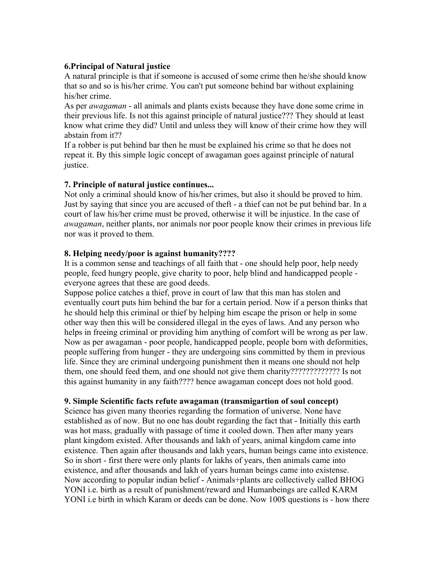### **6.Principal of Natural justice**

A natural principle is that if someone is accused of some crime then he/she should know that so and so is his/her crime. You can't put someone behind bar without explaining his/her crime.

As per *awagaman* - all animals and plants exists because they have done some crime in their previous life. Is not this against principle of natural justice??? They should at least know what crime they did? Until and unless they will know of their crime how they will abstain from it??

If a robber is put behind bar then he must be explained his crime so that he does not repeat it. By this simple logic concept of awagaman goes against principle of natural justice.

# **7. Principle of natural justice continues...**

Not only a criminal should know of his/her crimes, but also it should be proved to him. Just by saying that since you are accused of theft - a thief can not be put behind bar. In a court of law his/her crime must be proved, otherwise it will be injustice. In the case of *awagaman*, neither plants, nor animals nor poor people know their crimes in previous life nor was it proved to them.

## **8. Helping needy/poor is against humanity????**

It is a common sense and teachings of all faith that - one should help poor, help needy people, feed hungry people, give charity to poor, help blind and handicapped people everyone agrees that these are good deeds.

Suppose police catches a thief, prove in court of law that this man has stolen and eventually court puts him behind the bar for a certain period. Now if a person thinks that he should help this criminal or thief by helping him escape the prison or help in some other way then this will be considered illegal in the eyes of laws. And any person who helps in freeing criminal or providing him anything of comfort will be wrong as per law. Now as per awagaman - poor people, handicapped people, people born with deformities, people suffering from hunger - they are undergoing sins committed by them in previous life. Since they are criminal undergoing punishment then it means one should not help them, one should feed them, and one should not give them charity????????????? Is not this against humanity in any faith???? hence awagaman concept does not hold good.

#### **9. Simple Scientific facts refute awagaman (transmigartion of soul concept)**

Science has given many theories regarding the formation of universe. None have established as of now. But no one has doubt regarding the fact that - Initially this earth was hot mass, gradually with passage of time it cooled down. Then after many years plant kingdom existed. After thousands and lakh of years, animal kingdom came into existence. Then again after thousands and lakh years, human beings came into existence. So in short - first there were only plants for lakhs of years, then animals came into existence, and after thousands and lakh of years human beings came into existense. Now according to popular indian belief - Animals+plants are collectively called BHOG YONI i.e. birth as a result of punishment/reward and Humanbeings are called KARM YONI i.e birth in which Karam or deeds can be done. Now 100\$ questions is - how there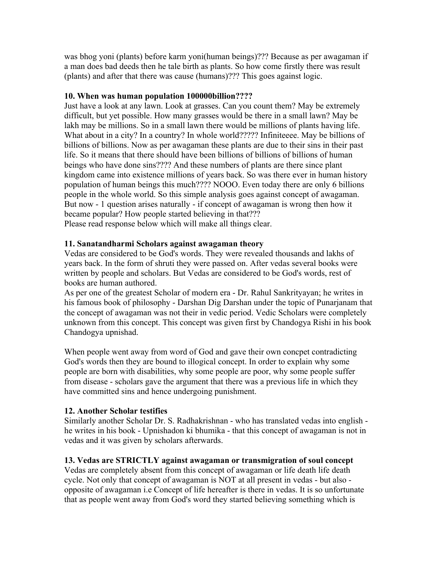was bhog yoni (plants) before karm yoni(human beings)??? Because as per awagaman if a man does bad deeds then he tale birth as plants. So how come firstly there was result (plants) and after that there was cause (humans)??? This goes against logic.

# **10. When was human population 100000billion????**

Just have a look at any lawn. Look at grasses. Can you count them? May be extremely difficult, but yet possible. How many grasses would be there in a small lawn? May be lakh may be millions. So in a small lawn there would be millions of plants having life. What about in a city? In a country? In whole world????? Infiniteeee. May be billions of billions of billions. Now as per awagaman these plants are due to their sins in their past life. So it means that there should have been billions of billions of billions of human beings who have done sins???? And these numbers of plants are there since plant kingdom came into existence millions of years back. So was there ever in human history population of human beings this much???? NOOO. Even today there are only 6 billions people in the whole world. So this simple analysis goes against concept of awagaman. But now - 1 question arises naturally - if concept of awagaman is wrong then how it became popular? How people started believing in that??? Please read response below which will make all things clear.

# **11. Sanatandharmi Scholars against awagaman theory**

Vedas are considered to be God's words. They were revealed thousands and lakhs of years back. In the form of shruti they were passed on. After vedas several books were written by people and scholars. But Vedas are considered to be God's words, rest of books are human authored.

As per one of the greatest Scholar of modern era - Dr. Rahul Sankrityayan; he writes in his famous book of philosophy - Darshan Dig Darshan under the topic of Punarjanam that the concept of awagaman was not their in vedic period. Vedic Scholars were completely unknown from this concept. This concept was given first by Chandogya Rishi in his book Chandogya upnishad.

When people went away from word of God and gave their own concpet contradicting God's words then they are bound to illogical concept. In order to explain why some people are born with disabilities, why some people are poor, why some people suffer from disease - scholars gave the argument that there was a previous life in which they have committed sins and hence undergoing punishment.

# **12. Another Scholar testifies**

Similarly another Scholar Dr. S. Radhakrishnan - who has translated vedas into english he writes in his book - Upnishadon ki bhumika - that this concept of awagaman is not in vedas and it was given by scholars afterwards.

# **13. Vedas are STRICTLY against awagaman or transmigration of soul concept**

Vedas are completely absent from this concept of awagaman or life death life death cycle. Not only that concept of awagaman is NOT at all present in vedas - but also opposite of awagaman i.e Concept of life hereafter is there in vedas. It is so unfortunate that as people went away from God's word they started believing something which is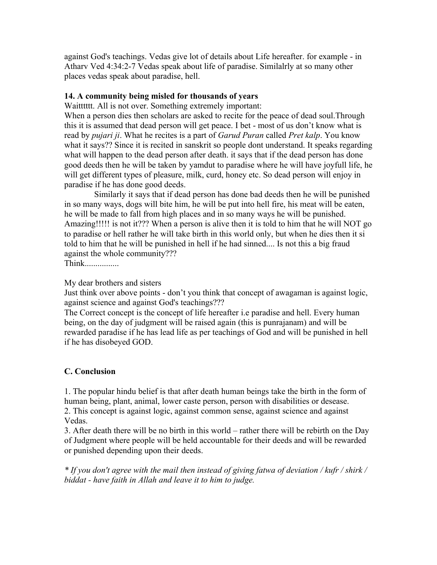against God's teachings. Vedas give lot of details about Life hereafter. for example - in Atharv Ved 4:34:2-7 Vedas speak about life of paradise. Similalrly at so many other places vedas speak about paradise, hell.

## **14. A community being misled for thousands of years**

Waitttttt. All is not over. Something extremely important:

When a person dies then scholars are asked to recite for the peace of dead soul.Through this it is assumed that dead person will get peace. I bet - most of us don't know what is read by *pujari ji*. What he recites is a part of *Garud Puran* called *Pret kalp*. You know what it says?? Since it is recited in sanskrit so people dont understand. It speaks regarding what will happen to the dead person after death. it says that if the dead person has done good deeds then he will be taken by yamdut to paradise where he will have joyfull life, he will get different types of pleasure, milk, curd, honey etc. So dead person will enjoy in paradise if he has done good deeds.

 Similarly it says that if dead person has done bad deeds then he will be punished in so many ways, dogs will bite him, he will be put into hell fire, his meat will be eaten, he will be made to fall from high places and in so many ways he will be punished. Amazing!!!!! is not it??? When a person is alive then it is told to him that he will NOT go to paradise or hell rather he will take birth in this world only, but when he dies then it si told to him that he will be punished in hell if he had sinned.... Is not this a big fraud against the whole community???

Think................

My dear brothers and sisters

Just think over above points - don't you think that concept of awagaman is against logic, against science and against God's teachings???

The Correct concept is the concept of life hereafter i.e paradise and hell. Every human being, on the day of judgment will be raised again (this is punrajanam) and will be rewarded paradise if he has lead life as per teachings of God and will be punished in hell if he has disobeyed GOD.

#### **C. Conclusion**

1. The popular hindu belief is that after death human beings take the birth in the form of human being, plant, animal, lower caste person, person with disabilities or desease. 2. This concept is against logic, against common sense, against science and against Vedas.

3. After death there will be no birth in this world – rather there will be rebirth on the Day of Judgment where people will be held accountable for their deeds and will be rewarded or punished depending upon their deeds.

*\* If you don't agree with the mail then instead of giving fatwa of deviation / kufr / shirk / biddat - have faith in Allah and leave it to him to judge.*